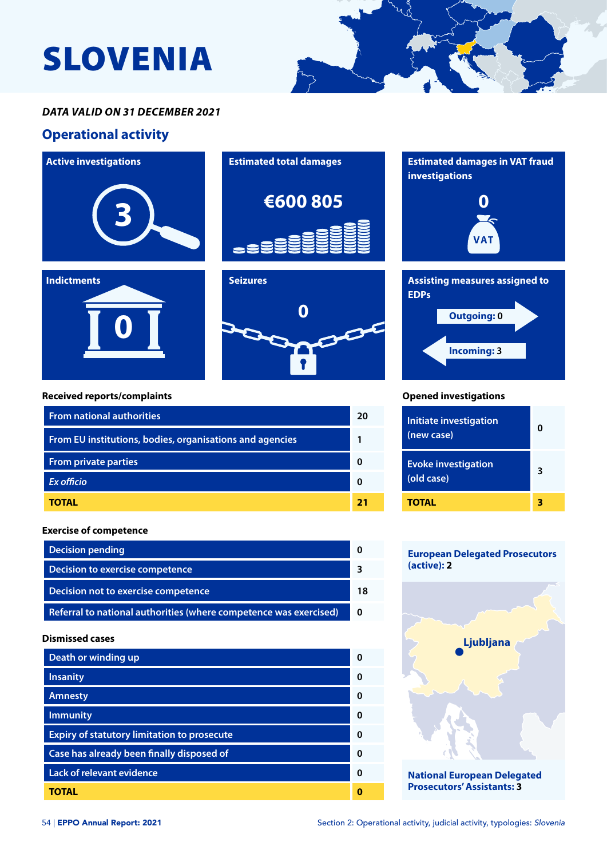# SLOVENIA



## *DATA VALID ON 31 DECEMBER 2021*

## **Operational activity**







#### **Received reports/complaints**

| <b>From national authorities</b>                         |  |
|----------------------------------------------------------|--|
| From EU institutions, bodies, organisations and agencies |  |
| <b>From private parties</b>                              |  |
| Ex officio                                               |  |
| TOTAL                                                    |  |

#### **Exercise of competence**

| <b>Decision pending</b>                                           |  |
|-------------------------------------------------------------------|--|
| Decision to exercise competence                                   |  |
| Decision not to exercise competence                               |  |
| Referral to national authorities (where competence was exercised) |  |

#### **Dismissed cases**

| Death or winding up                                |   |
|----------------------------------------------------|---|
| <b>Insanity</b>                                    | O |
| <b>Amnesty</b>                                     | 0 |
| <b>Immunity</b>                                    | Ω |
| <b>Expiry of statutory limitation to prosecute</b> | Ω |
| Case has already been finally disposed of          | Ω |
| <b>Lack of relevant evidence</b>                   | Ω |
| TOTAL                                              |   |





#### **Opened investigations**

| Initiate investigation<br>(new case)     | O |
|------------------------------------------|---|
| <b>Evoke investigation</b><br>(old case) | 3 |
| <b>TOTAL</b>                             |   |

#### **European Delegated Prosecutors (active): 2**